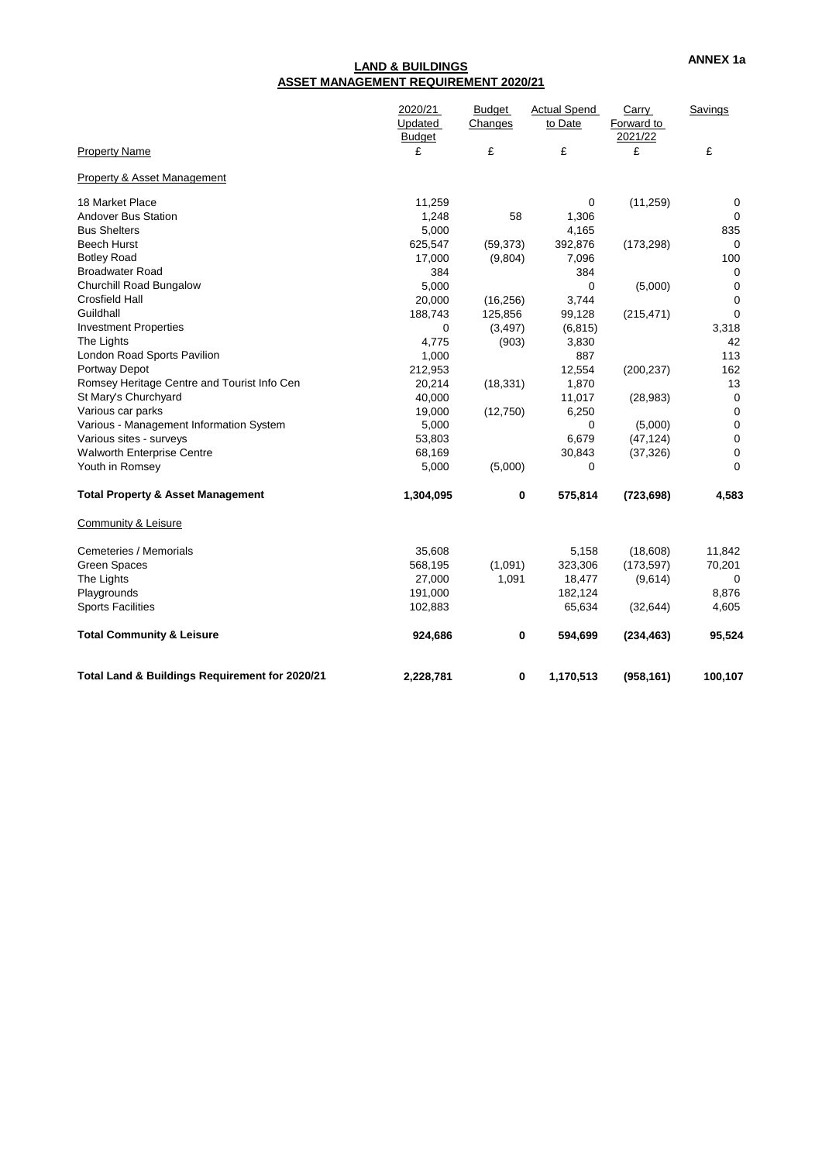#### **LAND & BUILDINGS ASSET MANAGEMENT REQUIREMENT 2020/21**

|                                                | 2020/21<br>Updated<br><b>Budget</b> | Budget<br>Changes | <b>Actual Spend</b><br>to Date | Carry<br>Forward to<br>2021/22 | Savings     |
|------------------------------------------------|-------------------------------------|-------------------|--------------------------------|--------------------------------|-------------|
| <b>Property Name</b>                           | £                                   | £                 | £                              | £                              | £           |
| Property & Asset Management                    |                                     |                   |                                |                                |             |
| 18 Market Place                                | 11,259                              |                   | 0                              | (11, 259)                      | 0           |
| <b>Andover Bus Station</b>                     | 1,248                               | 58                | 1,306                          |                                | $\mathbf 0$ |
| <b>Bus Shelters</b>                            | 5,000                               |                   | 4,165                          |                                | 835         |
| <b>Beech Hurst</b>                             | 625,547                             | (59, 373)         | 392,876                        | (173, 298)                     | $\mathbf 0$ |
| <b>Botley Road</b>                             | 17,000                              | (9,804)           | 7,096                          |                                | 100         |
| <b>Broadwater Road</b>                         | 384                                 |                   | 384                            |                                | $\mathbf 0$ |
| Churchill Road Bungalow                        | 5,000                               |                   | 0                              | (5,000)                        | $\mathbf 0$ |
| Crosfield Hall                                 | 20,000                              | (16, 256)         | 3,744                          |                                | 0           |
| Guildhall                                      | 188,743                             | 125,856           | 99,128                         | (215, 471)                     | $\Omega$    |
| <b>Investment Properties</b>                   | 0                                   | (3, 497)          | (6, 815)                       |                                | 3,318       |
| The Lights                                     | 4,775                               | (903)             | 3,830                          |                                | 42          |
| London Road Sports Pavilion                    | 1,000                               |                   | 887                            |                                | 113         |
| Portway Depot                                  | 212,953                             |                   | 12,554                         | (200, 237)                     | 162         |
| Romsey Heritage Centre and Tourist Info Cen    | 20,214                              | (18, 331)         | 1,870                          |                                | 13          |
| St Mary's Churchyard                           | 40,000                              |                   | 11,017                         | (28, 983)                      | $\mathbf 0$ |
| Various car parks                              | 19,000                              | (12,750)          | 6,250                          |                                | $\mathbf 0$ |
| Various - Management Information System        | 5,000                               |                   | 0                              | (5,000)                        | 0           |
| Various sites - surveys                        | 53,803                              |                   | 6,679                          | (47, 124)                      | $\mathbf 0$ |
| <b>Walworth Enterprise Centre</b>              | 68,169                              |                   | 30,843                         | (37, 326)                      | $\mathbf 0$ |
| Youth in Romsey                                | 5,000                               | (5,000)           | $\Omega$                       |                                | $\Omega$    |
| <b>Total Property &amp; Asset Management</b>   | 1,304,095                           | 0                 | 575,814                        | (723, 698)                     | 4,583       |
| Community & Leisure                            |                                     |                   |                                |                                |             |
| Cemeteries / Memorials                         | 35,608                              |                   | 5,158                          | (18,608)                       | 11,842      |
| <b>Green Spaces</b>                            | 568,195                             | (1,091)           | 323,306                        | (173, 597)                     | 70,201      |
| The Lights                                     | 27,000                              | 1,091             | 18,477                         | (9,614)                        | $\Omega$    |
| Playgrounds                                    | 191,000                             |                   | 182,124                        |                                | 8,876       |
| <b>Sports Facilities</b>                       | 102,883                             |                   | 65,634                         | (32, 644)                      | 4,605       |
| <b>Total Community &amp; Leisure</b>           | 924,686                             | 0                 | 594,699                        | (234, 463)                     | 95,524      |
| Total Land & Buildings Requirement for 2020/21 | 2,228,781                           | 0                 | 1,170,513                      | (958, 161)                     | 100,107     |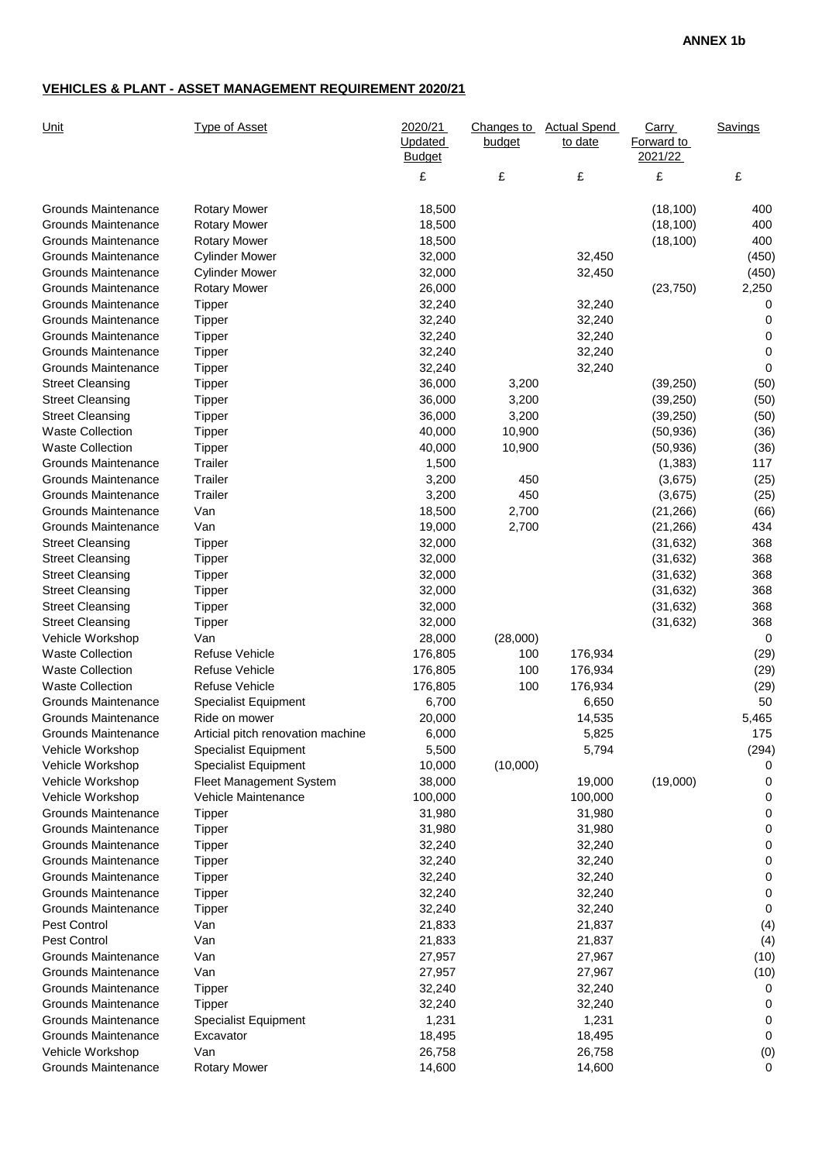### **VEHICLES & PLANT - ASSET MANAGEMENT REQUIREMENT 2020/21**

| <u>Unit</u>                             | <b>Type of Asset</b>                                       | 2020/21<br>Updated<br><b>Budget</b> | Changes to<br>budget | <b>Actual Spend</b><br>to date | Carry<br>Forward to<br>2021/22 | Savings          |
|-----------------------------------------|------------------------------------------------------------|-------------------------------------|----------------------|--------------------------------|--------------------------------|------------------|
|                                         |                                                            | £                                   | £                    | £                              | £                              | £                |
| Grounds Maintenance                     | <b>Rotary Mower</b>                                        | 18,500                              |                      |                                | (18, 100)                      | 400              |
| <b>Grounds Maintenance</b>              | <b>Rotary Mower</b>                                        | 18,500                              |                      |                                | (18, 100)                      | 400              |
| <b>Grounds Maintenance</b>              | <b>Rotary Mower</b>                                        | 18,500                              |                      |                                | (18, 100)                      | 400              |
| <b>Grounds Maintenance</b>              | <b>Cylinder Mower</b>                                      | 32,000                              |                      | 32,450                         |                                | (450)            |
| <b>Grounds Maintenance</b>              | <b>Cylinder Mower</b>                                      | 32,000                              |                      | 32,450                         |                                | (450)            |
| <b>Grounds Maintenance</b>              | <b>Rotary Mower</b>                                        | 26,000                              |                      |                                | (23, 750)                      | 2,250            |
| Grounds Maintenance                     | <b>Tipper</b>                                              | 32,240                              |                      | 32,240                         |                                | 0                |
| Grounds Maintenance                     | <b>Tipper</b>                                              | 32,240                              |                      | 32,240                         |                                | 0                |
| Grounds Maintenance                     | <b>Tipper</b>                                              | 32,240                              |                      | 32,240                         |                                | 0                |
| <b>Grounds Maintenance</b>              | <b>Tipper</b>                                              | 32,240                              |                      | 32,240                         |                                | 0                |
| <b>Grounds Maintenance</b>              | <b>Tipper</b>                                              | 32,240                              |                      | 32,240                         |                                | 0                |
| <b>Street Cleansing</b>                 | <b>Tipper</b>                                              | 36,000                              | 3,200                |                                | (39, 250)                      | (50)             |
| <b>Street Cleansing</b>                 | <b>Tipper</b>                                              | 36,000                              | 3,200                |                                | (39, 250)                      | (50)             |
| <b>Street Cleansing</b>                 | <b>Tipper</b>                                              | 36,000                              | 3,200                |                                | (39, 250)                      | (50)             |
| <b>Waste Collection</b>                 | <b>Tipper</b>                                              | 40,000                              | 10,900               |                                | (50, 936)                      | (36)             |
| <b>Waste Collection</b>                 | <b>Tipper</b>                                              | 40,000                              | 10,900               |                                | (50, 936)                      | (36)             |
| Grounds Maintenance                     | Trailer                                                    | 1,500                               |                      |                                | (1,383)                        | 117              |
| <b>Grounds Maintenance</b>              | Trailer                                                    | 3,200                               | 450                  |                                | (3,675)                        | (25)             |
| <b>Grounds Maintenance</b>              | Trailer                                                    | 3,200                               | 450                  |                                | (3,675)                        | (25)             |
| Grounds Maintenance                     | Van                                                        | 18,500                              | 2,700                |                                | (21, 266)                      | (66)             |
| Grounds Maintenance                     | Van                                                        | 19,000                              | 2,700                |                                | (21, 266)                      | 434              |
| <b>Street Cleansing</b>                 | <b>Tipper</b>                                              | 32,000                              |                      |                                | (31, 632)                      | 368              |
| <b>Street Cleansing</b>                 | <b>Tipper</b>                                              | 32,000                              |                      |                                | (31, 632)                      | 368              |
| <b>Street Cleansing</b>                 | <b>Tipper</b>                                              | 32,000                              |                      |                                | (31, 632)                      | 368              |
| <b>Street Cleansing</b>                 | <b>Tipper</b>                                              | 32,000                              |                      |                                | (31, 632)                      | 368              |
| <b>Street Cleansing</b>                 | <b>Tipper</b>                                              | 32,000                              |                      |                                | (31, 632)                      | 368              |
| <b>Street Cleansing</b>                 | <b>Tipper</b>                                              | 32,000                              |                      |                                | (31, 632)                      | 368              |
| Vehicle Workshop                        | Van                                                        | 28,000                              | (28,000)             |                                |                                | 0                |
| <b>Waste Collection</b>                 | Refuse Vehicle                                             | 176,805                             | 100                  | 176,934                        |                                | (29)             |
| <b>Waste Collection</b>                 | Refuse Vehicle                                             | 176,805                             | 100                  | 176,934                        |                                | (29)             |
| <b>Waste Collection</b>                 | Refuse Vehicle                                             | 176,805                             | 100                  | 176,934                        |                                | (29)             |
| <b>Grounds Maintenance</b>              | <b>Specialist Equipment</b>                                | 6,700                               |                      | 6,650                          |                                | 50               |
| <b>Grounds Maintenance</b>              | Ride on mower                                              | 20,000                              |                      | 14,535                         |                                | 5,465            |
| Grounds Maintenance<br>Vehicle Workshop | Articial pitch renovation machine                          | 6,000                               |                      | 5,825                          |                                | 175              |
| Vehicle Workshop                        | <b>Specialist Equipment</b><br><b>Specialist Equipment</b> | 5,500<br>10,000                     | (10,000)             | 5,794                          |                                | (294)<br>0       |
| Vehicle Workshop                        | Fleet Management System                                    | 38,000                              |                      | 19,000                         | (19,000)                       | 0                |
| Vehicle Workshop                        | Vehicle Maintenance                                        | 100,000                             |                      | 100,000                        |                                | 0                |
| Grounds Maintenance                     | <b>Tipper</b>                                              | 31,980                              |                      | 31,980                         |                                | 0                |
| <b>Grounds Maintenance</b>              | <b>Tipper</b>                                              | 31,980                              |                      | 31,980                         |                                | 0                |
| Grounds Maintenance                     | <b>Tipper</b>                                              | 32,240                              |                      | 32,240                         |                                | 0                |
| <b>Grounds Maintenance</b>              | <b>Tipper</b>                                              | 32,240                              |                      | 32,240                         |                                | 0                |
| Grounds Maintenance                     | <b>Tipper</b>                                              | 32,240                              |                      | 32,240                         |                                | 0                |
| Grounds Maintenance                     | <b>Tipper</b>                                              | 32,240                              |                      | 32,240                         |                                | 0                |
| Grounds Maintenance                     | <b>Tipper</b>                                              | 32,240                              |                      | 32,240                         |                                | 0                |
| Pest Control                            | Van                                                        | 21,833                              |                      | 21,837                         |                                | (4)              |
| <b>Pest Control</b>                     | Van                                                        | 21,833                              |                      | 21,837                         |                                | (4)              |
| <b>Grounds Maintenance</b>              | Van                                                        | 27,957                              |                      | 27,967                         |                                | (10)             |
| Grounds Maintenance                     | Van                                                        | 27,957                              |                      | 27,967                         |                                | (10)             |
| <b>Grounds Maintenance</b>              | <b>Tipper</b>                                              | 32,240                              |                      | 32,240                         |                                | 0                |
| Grounds Maintenance                     | <b>Tipper</b>                                              | 32,240                              |                      | 32,240                         |                                | 0                |
| Grounds Maintenance                     | <b>Specialist Equipment</b>                                | 1,231                               |                      | 1,231                          |                                | 0                |
| <b>Grounds Maintenance</b>              | Excavator                                                  | 18,495                              |                      | 18,495                         |                                | 0                |
| Vehicle Workshop                        | Van                                                        | 26,758                              |                      | 26,758                         |                                | (0)              |
| Grounds Maintenance                     | <b>Rotary Mower</b>                                        | 14,600                              |                      | 14,600                         |                                | $\boldsymbol{0}$ |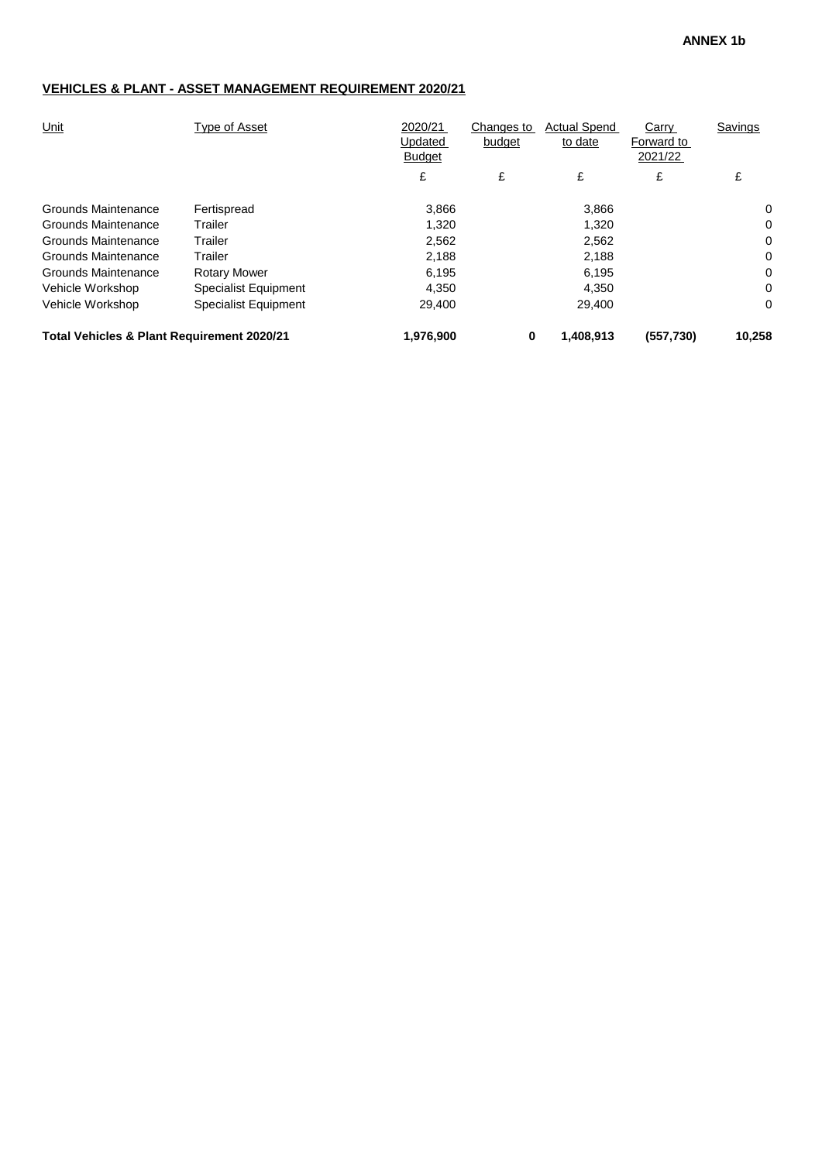### **VEHICLES & PLANT - ASSET MANAGEMENT REQUIREMENT 2020/21**

| Unit                                                  | Type of Asset               | 2020/21<br>Updated<br><b>Budget</b> | Changes to<br>budget | <b>Actual Spend</b><br>to date | Carry<br>Forward to<br>2021/22 | Savings  |
|-------------------------------------------------------|-----------------------------|-------------------------------------|----------------------|--------------------------------|--------------------------------|----------|
|                                                       |                             | £                                   | £                    | £                              | £                              | £        |
| Grounds Maintenance                                   | Fertispread                 | 3,866                               |                      | 3,866                          |                                | 0        |
| Grounds Maintenance                                   | Trailer                     | 1,320                               |                      | 1,320                          |                                | 0        |
| Grounds Maintenance                                   | Trailer                     | 2,562                               |                      | 2,562                          |                                | 0        |
| Grounds Maintenance                                   | Trailer                     | 2,188                               |                      | 2,188                          |                                | 0        |
| Grounds Maintenance                                   | <b>Rotary Mower</b>         | 6.195                               |                      | 6.195                          |                                | 0        |
| Vehicle Workshop                                      | <b>Specialist Equipment</b> | 4,350                               |                      | 4,350                          |                                | 0        |
| Vehicle Workshop                                      | Specialist Equipment        | 29,400                              |                      | 29,400                         |                                | $\Omega$ |
| <b>Total Vehicles &amp; Plant Requirement 2020/21</b> |                             | 1,976,900                           | 0                    | 1,408,913                      | (557, 730)                     | 10,258   |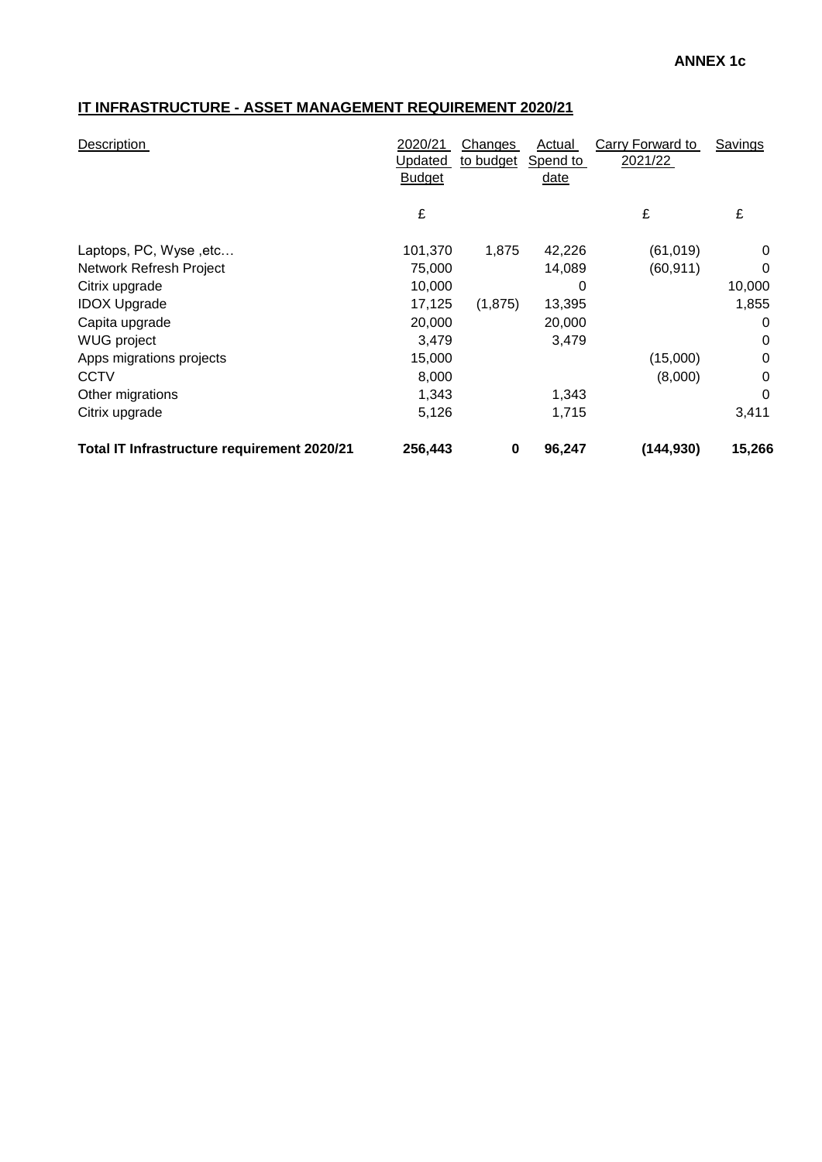## **IT INFRASTRUCTURE - ASSET MANAGEMENT REQUIREMENT 2020/21**

| Description                                 | 2020/21<br>Updated<br><b>Budget</b> | Changes<br>to budget | Actual<br>Spend to<br>date | Carry Forward to<br>2021/22 | Savings |
|---------------------------------------------|-------------------------------------|----------------------|----------------------------|-----------------------------|---------|
|                                             | £                                   |                      |                            | £                           | £       |
| Laptops, PC, Wyse, etc                      | 101,370                             | 1,875                | 42,226                     | (61, 019)                   | 0       |
| Network Refresh Project                     | 75,000                              |                      | 14,089                     | (60, 911)                   | 0       |
| Citrix upgrade                              | 10,000                              |                      | 0                          |                             | 10,000  |
| <b>IDOX Upgrade</b>                         | 17,125                              | (1, 875)             | 13,395                     |                             | 1,855   |
| Capita upgrade                              | 20,000                              |                      | 20,000                     |                             | 0       |
| <b>WUG</b> project                          | 3,479                               |                      | 3,479                      |                             | 0       |
| Apps migrations projects                    | 15,000                              |                      |                            | (15,000)                    | 0       |
| CCTV                                        | 8,000                               |                      |                            | (8,000)                     | 0       |
| Other migrations                            | 1,343                               |                      | 1,343                      |                             | 0       |
| Citrix upgrade                              | 5,126                               |                      | 1,715                      |                             | 3,411   |
| Total IT Infrastructure requirement 2020/21 | 256,443                             | 0                    | 96,247                     | (144, 930)                  | 15,266  |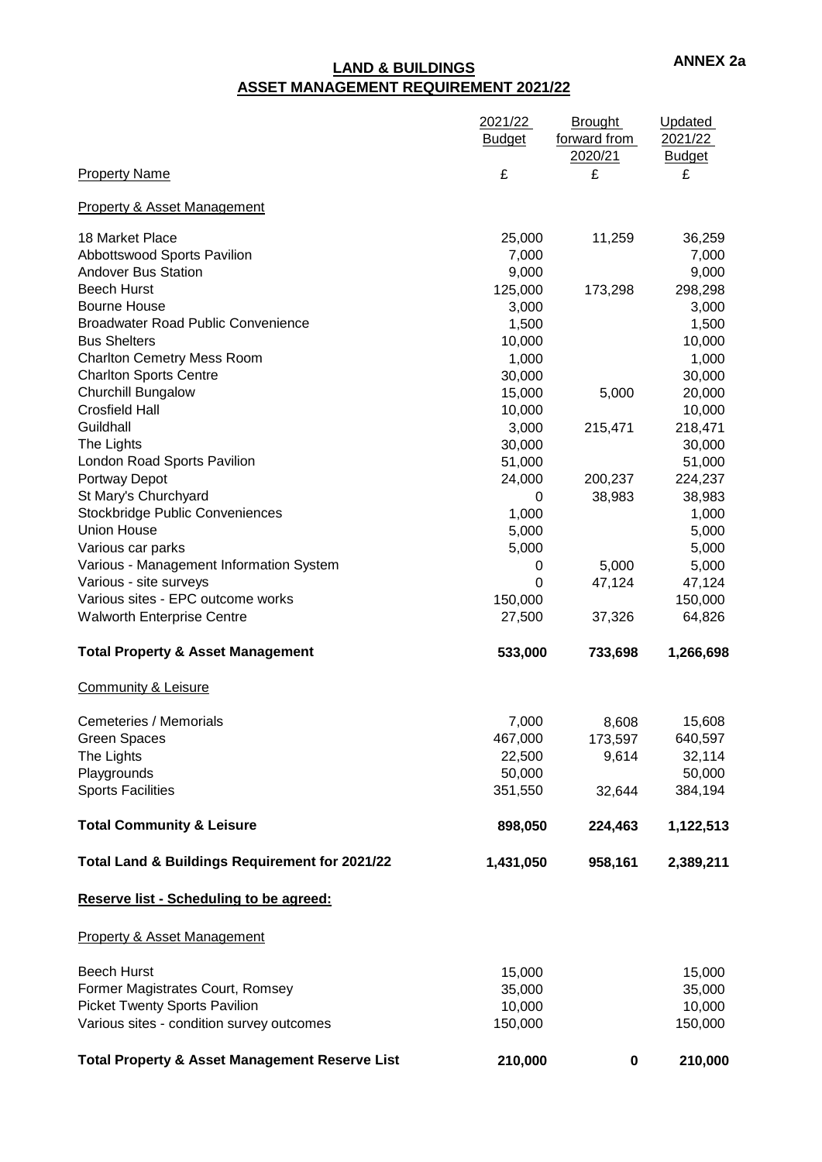## **LAND & BUILDINGS ASSET MANAGEMENT REQUIREMENT 2021/22**

|                                                           | 2021/22<br><b>Budget</b> | <b>Brought</b><br>forward from<br>2020/21 | Updated<br>2021/22<br><b>Budget</b> |
|-----------------------------------------------------------|--------------------------|-------------------------------------------|-------------------------------------|
| <b>Property Name</b>                                      | £                        | £                                         | £                                   |
| <b>Property &amp; Asset Management</b>                    |                          |                                           |                                     |
| 18 Market Place                                           | 25,000                   | 11,259                                    | 36,259                              |
| Abbottswood Sports Pavilion                               | 7,000                    |                                           | 7,000                               |
| <b>Andover Bus Station</b>                                | 9,000                    |                                           | 9,000                               |
| <b>Beech Hurst</b>                                        | 125,000                  | 173,298                                   | 298,298                             |
| <b>Bourne House</b>                                       | 3,000                    |                                           | 3,000                               |
| <b>Broadwater Road Public Convenience</b>                 | 1,500                    |                                           | 1,500                               |
| <b>Bus Shelters</b>                                       | 10,000                   |                                           | 10,000                              |
| <b>Charlton Cemetry Mess Room</b>                         | 1,000                    |                                           | 1,000                               |
| <b>Charlton Sports Centre</b>                             | 30,000                   |                                           | 30,000                              |
| Churchill Bungalow                                        | 15,000                   | 5,000                                     | 20,000                              |
| <b>Crosfield Hall</b>                                     | 10,000                   |                                           | 10,000                              |
| Guildhall                                                 | 3,000                    | 215,471                                   | 218,471                             |
| The Lights                                                | 30,000                   |                                           | 30,000                              |
| London Road Sports Pavilion                               | 51,000                   |                                           | 51,000                              |
| Portway Depot                                             | 24,000                   | 200,237                                   | 224,237                             |
| St Mary's Churchyard                                      | 0                        | 38,983                                    | 38,983                              |
| Stockbridge Public Conveniences                           | 1,000                    |                                           | 1,000                               |
| <b>Union House</b>                                        | 5,000                    |                                           | 5,000                               |
| Various car parks                                         | 5,000                    |                                           | 5,000                               |
| Various - Management Information System                   | 0                        | 5,000                                     | 5,000                               |
| Various - site surveys                                    | 0                        | 47,124                                    | 47,124                              |
| Various sites - EPC outcome works                         | 150,000                  |                                           | 150,000                             |
| <b>Walworth Enterprise Centre</b>                         | 27,500                   | 37,326                                    | 64,826                              |
| <b>Total Property &amp; Asset Management</b>              | 533,000                  | 733,698                                   | 1,266,698                           |
| <b>Community &amp; Leisure</b>                            |                          |                                           |                                     |
| Cemeteries / Memorials                                    | 7,000                    | 8,608                                     | 15,608                              |
| <b>Green Spaces</b>                                       | 467,000                  | 173,597                                   | 640,597                             |
| The Lights                                                | 22,500                   | 9,614                                     | 32,114                              |
| Playgrounds                                               | 50,000                   |                                           | 50,000                              |
| <b>Sports Facilities</b>                                  | 351,550                  | 32,644                                    | 384,194                             |
| <b>Total Community &amp; Leisure</b>                      | 898,050                  | 224,463                                   | 1,122,513                           |
| Total Land & Buildings Requirement for 2021/22            | 1,431,050                | 958,161                                   | 2,389,211                           |
| Reserve list - Scheduling to be agreed:                   |                          |                                           |                                     |
| <b>Property &amp; Asset Management</b>                    |                          |                                           |                                     |
| <b>Beech Hurst</b>                                        | 15,000                   |                                           | 15,000                              |
| Former Magistrates Court, Romsey                          | 35,000                   |                                           | 35,000                              |
| <b>Picket Twenty Sports Pavilion</b>                      | 10,000                   |                                           | 10,000                              |
| Various sites - condition survey outcomes                 | 150,000                  |                                           | 150,000                             |
|                                                           |                          |                                           |                                     |
| <b>Total Property &amp; Asset Management Reserve List</b> | 210,000                  | 0                                         | 210,000                             |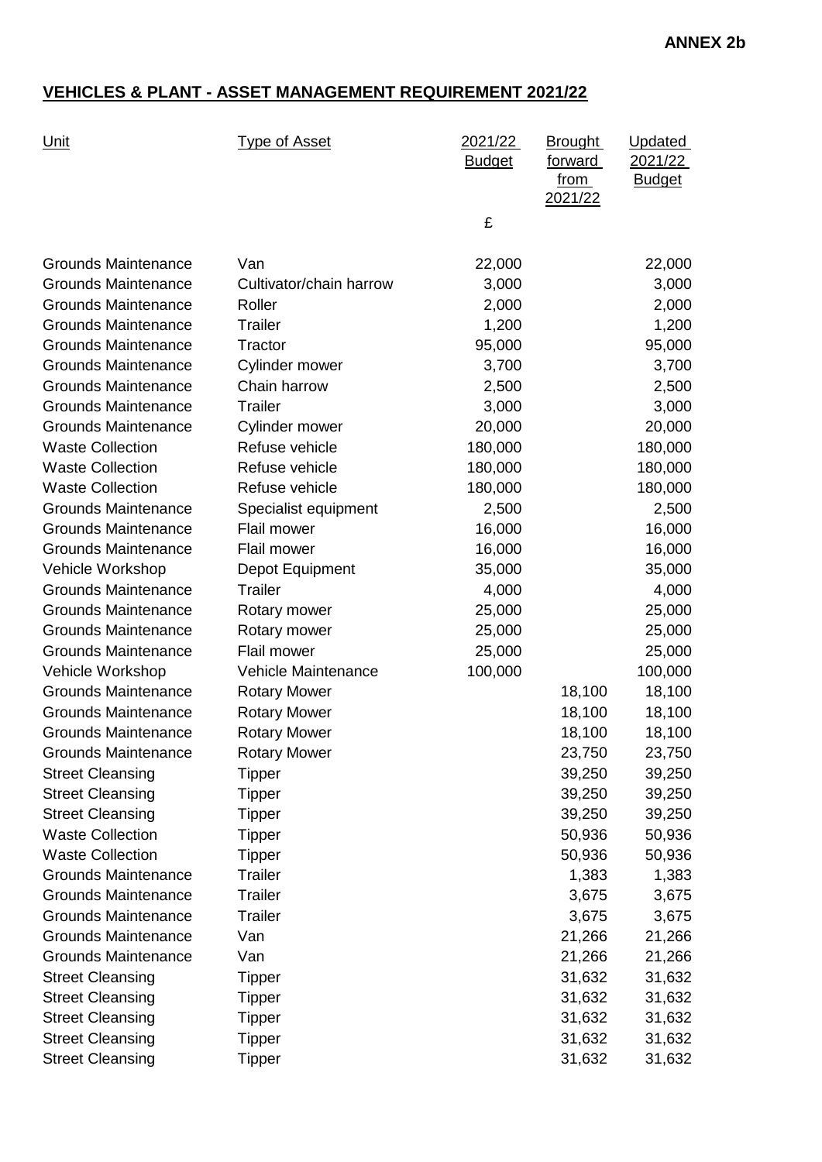# **VEHICLES & PLANT - ASSET MANAGEMENT REQUIREMENT 2021/22**

| Unit                       | <b>Type of Asset</b>    | 2021/22<br><b>Budget</b> | <b>Brought</b><br>forward<br>from<br>2021/22 | <b>Updated</b><br>2021/22<br><b>Budget</b> |
|----------------------------|-------------------------|--------------------------|----------------------------------------------|--------------------------------------------|
|                            |                         | £                        |                                              |                                            |
| <b>Grounds Maintenance</b> | Van                     | 22,000                   |                                              | 22,000                                     |
| <b>Grounds Maintenance</b> | Cultivator/chain harrow | 3,000                    |                                              | 3,000                                      |
| <b>Grounds Maintenance</b> | Roller                  | 2,000                    |                                              | 2,000                                      |
| <b>Grounds Maintenance</b> | <b>Trailer</b>          | 1,200                    |                                              | 1,200                                      |
| <b>Grounds Maintenance</b> | Tractor                 | 95,000                   |                                              | 95,000                                     |
| <b>Grounds Maintenance</b> | Cylinder mower          | 3,700                    |                                              | 3,700                                      |
| <b>Grounds Maintenance</b> | Chain harrow            | 2,500                    |                                              | 2,500                                      |
| <b>Grounds Maintenance</b> | <b>Trailer</b>          | 3,000                    |                                              | 3,000                                      |
| <b>Grounds Maintenance</b> | Cylinder mower          | 20,000                   |                                              | 20,000                                     |
| <b>Waste Collection</b>    | Refuse vehicle          | 180,000                  |                                              | 180,000                                    |
| <b>Waste Collection</b>    | Refuse vehicle          | 180,000                  |                                              | 180,000                                    |
| <b>Waste Collection</b>    | Refuse vehicle          | 180,000                  |                                              | 180,000                                    |
| <b>Grounds Maintenance</b> | Specialist equipment    | 2,500                    |                                              | 2,500                                      |
| <b>Grounds Maintenance</b> | <b>Flail mower</b>      | 16,000                   |                                              | 16,000                                     |
| <b>Grounds Maintenance</b> | <b>Flail mower</b>      | 16,000                   |                                              | 16,000                                     |
| Vehicle Workshop           | Depot Equipment         | 35,000                   |                                              | 35,000                                     |
| <b>Grounds Maintenance</b> | <b>Trailer</b>          | 4,000                    |                                              | 4,000                                      |
| <b>Grounds Maintenance</b> | Rotary mower            | 25,000                   |                                              | 25,000                                     |
| <b>Grounds Maintenance</b> | Rotary mower            | 25,000                   |                                              | 25,000                                     |
| <b>Grounds Maintenance</b> | Flail mower             | 25,000                   |                                              | 25,000                                     |
| Vehicle Workshop           | Vehicle Maintenance     | 100,000                  |                                              | 100,000                                    |
| <b>Grounds Maintenance</b> | <b>Rotary Mower</b>     |                          | 18,100                                       | 18,100                                     |
| <b>Grounds Maintenance</b> | <b>Rotary Mower</b>     |                          | 18,100                                       | 18,100                                     |
| <b>Grounds Maintenance</b> | <b>Rotary Mower</b>     |                          | 18,100                                       | 18,100                                     |
| <b>Grounds Maintenance</b> | <b>Rotary Mower</b>     |                          | 23,750                                       | 23,750                                     |
| <b>Street Cleansing</b>    | Tipper                  |                          | 39,250                                       | 39,250                                     |
| <b>Street Cleansing</b>    | Tipper                  |                          | 39,250                                       | 39,250                                     |
| <b>Street Cleansing</b>    | <b>Tipper</b>           |                          | 39,250                                       | 39,250                                     |
| <b>Waste Collection</b>    | Tipper                  |                          | 50,936                                       | 50,936                                     |
| <b>Waste Collection</b>    | <b>Tipper</b>           |                          | 50,936                                       | 50,936                                     |
| <b>Grounds Maintenance</b> | <b>Trailer</b>          |                          | 1,383                                        | 1,383                                      |
| <b>Grounds Maintenance</b> | <b>Trailer</b>          |                          | 3,675                                        | 3,675                                      |
| <b>Grounds Maintenance</b> | <b>Trailer</b>          |                          | 3,675                                        | 3,675                                      |
| <b>Grounds Maintenance</b> | Van                     |                          | 21,266                                       | 21,266                                     |
| <b>Grounds Maintenance</b> | Van                     |                          | 21,266                                       | 21,266                                     |
| <b>Street Cleansing</b>    | <b>Tipper</b>           |                          | 31,632                                       | 31,632                                     |
| <b>Street Cleansing</b>    | <b>Tipper</b>           |                          | 31,632                                       | 31,632                                     |
| <b>Street Cleansing</b>    | <b>Tipper</b>           |                          | 31,632                                       | 31,632                                     |
| <b>Street Cleansing</b>    | <b>Tipper</b>           |                          | 31,632                                       | 31,632                                     |
| <b>Street Cleansing</b>    | Tipper                  |                          | 31,632                                       | 31,632                                     |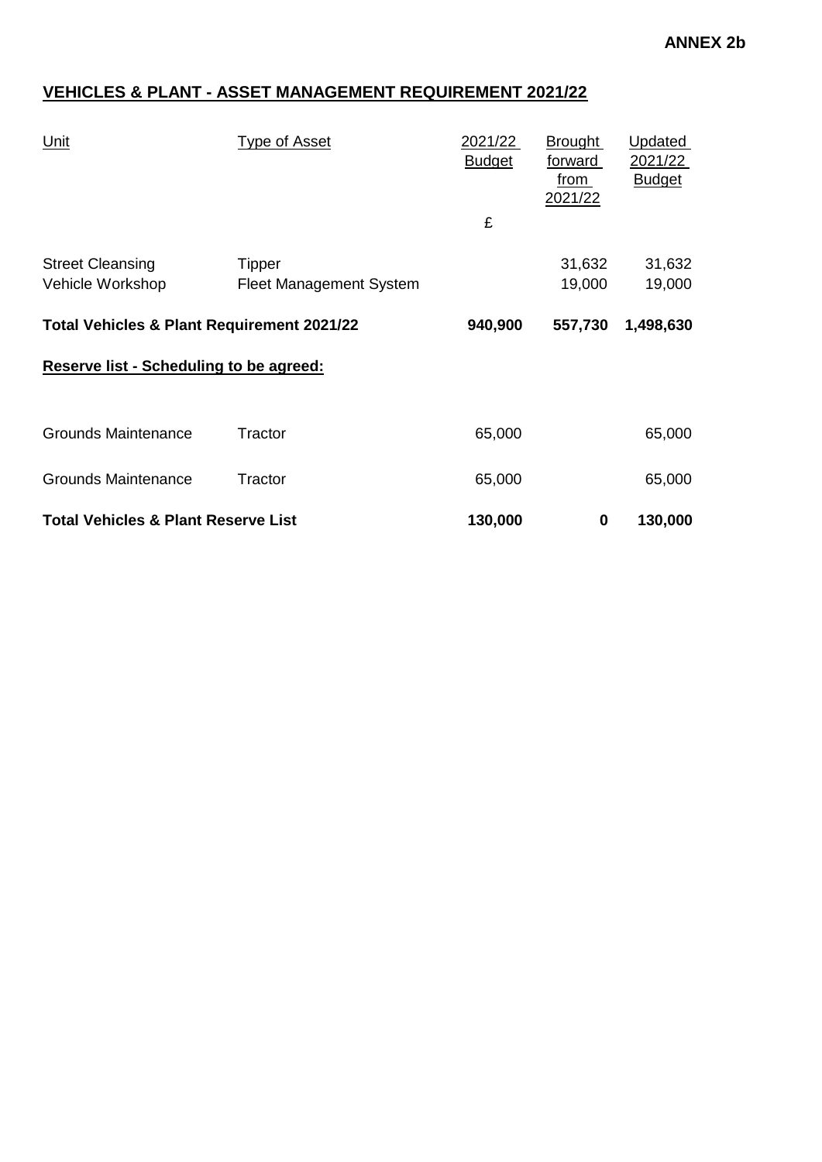# **VEHICLES & PLANT - ASSET MANAGEMENT REQUIREMENT 2021/22**

| Unit                                                  | Type of Asset                  | 2021/22<br><b>Budget</b> | <b>Brought</b><br>forward<br>from<br>2021/22 | <b>Updated</b><br>2021/22<br><b>Budget</b> |
|-------------------------------------------------------|--------------------------------|--------------------------|----------------------------------------------|--------------------------------------------|
|                                                       |                                | £                        |                                              |                                            |
| <b>Street Cleansing</b>                               | <b>Tipper</b>                  |                          | 31,632                                       | 31,632                                     |
| Vehicle Workshop                                      | <b>Fleet Management System</b> |                          | 19,000                                       | 19,000                                     |
| <b>Total Vehicles &amp; Plant Requirement 2021/22</b> |                                | 940,900                  | 557,730                                      | 1,498,630                                  |
| Reserve list - Scheduling to be agreed:               |                                |                          |                                              |                                            |
|                                                       |                                |                          |                                              |                                            |
| <b>Grounds Maintenance</b>                            | Tractor                        | 65,000                   |                                              | 65,000                                     |
| Grounds Maintenance                                   | Tractor                        | 65,000                   |                                              | 65,000                                     |
| <b>Total Vehicles &amp; Plant Reserve List</b>        |                                | 130,000                  | 0                                            | 130,000                                    |